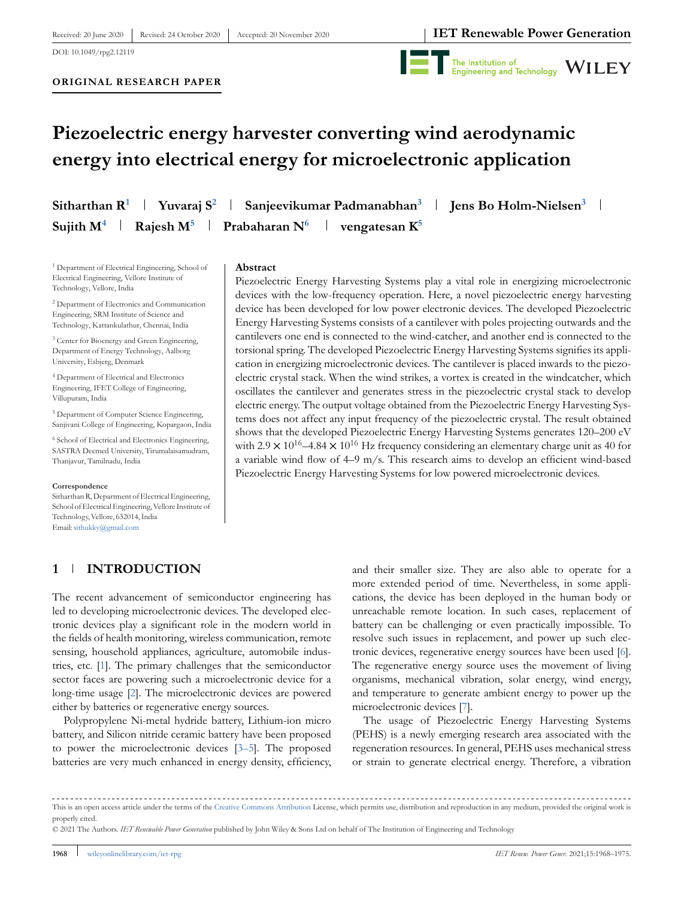DOI: 10.1049/rpg2.12119



# **Piezoelectric energy harvester converting wind aerodynamic energy into electrical energy for microelectronic application**

**Sitharthan R<sup>1</sup> Yuvaraj S<sup>2</sup> Sanjeevikumar Padmanabhan<sup>3</sup> Jens Bo Holm-Nielsen<sup>3</sup> Sujith M<sup>4</sup> Rajesh M<sup>5</sup> Prabaharan N<sup>6</sup> vengatesan K<sup>5</sup>**

<sup>1</sup> Department of Electrical Engineering, School of Electrical Engineering, Vellore Institute of Technology, Vellore, India

<sup>2</sup> Department of Electronics and Communication Engineering, SRM Institute of Science and Technology, Kattankulathur, Chennai, India

<sup>3</sup> Center for Bioenergy and Green Engineering, Department of Energy Technology, Aalborg University, Esbjerg, Denmark

<sup>4</sup> Department of Electrical and Electronics Engineering, IFET College of Engineering, Villupuram, India

<sup>5</sup> Department of Computer Science Engineering, Sanjivani College of Engineering, Kopargaon, India

<sup>6</sup> School of Electrical and Electronics Engineering, SASTRA Deemed University, Tirumalaisamudram, Thanjavur, Tamilnadu, India

#### **Correspondence**

Sitharthan R, Department of Electrical Engineering, School of Electrical Engineering, Vellore Institute of Technology, Vellore, 632014, India Email:sithukky@gmail.com

## **1 INTRODUCTION**

#### **Abstract**

Piezoelectric Energy Harvesting Systems play a vital role in energizing microelectronic devices with the low-frequency operation. Here, a novel piezoelectric energy harvesting device has been developed for low power electronic devices. The developed Piezoelectric Energy Harvesting Systems consists of a cantilever with poles projecting outwards and the cantilevers one end is connected to the wind-catcher, and another end is connected to the torsional spring. The developed Piezoelectric Energy Harvesting Systems signifies its application in energizing microelectronic devices. The cantilever is placed inwards to the piezoelectric crystal stack. When the wind strikes, a vortex is created in the windcatcher, which oscillates the cantilever and generates stress in the piezoelectric crystal stack to develop electric energy. The output voltage obtained from the Piezoelectric Energy Harvesting Systems does not affect any input frequency of the piezoelectric crystal. The result obtained shows that the developed Piezoelectric Energy Harvesting Systems generates 120–200 eV with 2.9  $\times$  10<sup>16</sup>–4.84  $\times$  10<sup>16</sup> Hz frequency considering an elementary charge unit as 40 for a variable wind flow of 4–9 m/s. This research aims to develop an efficient wind-based Piezoelectric Energy Harvesting Systems for low powered microelectronic devices.

The recent advancement of semiconductor engineering has led to developing microelectronic devices. The developed electronic devices play a significant role in the modern world in the fields of health monitoring, wireless communication, remote sensing, household appliances, agriculture, automobile industries, etc. [1]. The primary challenges that the semiconductor sector faces are powering such a microelectronic device for a long-time usage [2]. The microelectronic devices are powered either by batteries or regenerative energy sources.

Polypropylene Ni-metal hydride battery, Lithium-ion micro battery, and Silicon nitride ceramic battery have been proposed to power the microelectronic devices [3–5]. The proposed batteries are very much enhanced in energy density, efficiency,

and their smaller size. They are also able to operate for a more extended period of time. Nevertheless, in some applications, the device has been deployed in the human body or unreachable remote location. In such cases, replacement of battery can be challenging or even practically impossible. To resolve such issues in replacement, and power up such electronic devices, regenerative energy sources have been used [6]. The regenerative energy source uses the movement of living organisms, mechanical vibration, solar energy, wind energy, and temperature to generate ambient energy to power up the microelectronic devices [7].

The usage of Piezoelectric Energy Harvesting Systems (PEHS) is a newly emerging research area associated with the regeneration resources. In general, PEHS uses mechanical stress or strain to generate electrical energy. Therefore, a vibration

This is an open access article under the terms of the Creative Commons Attribution License, which permits use, distribution and reproduction in any medium, provided the original work is properly cited.

<sup>© 2021</sup> The Authors. *IET Renewable Power Generation* published by John Wiley & Sons Ltd on behalf of The Institution of Engineering and Technology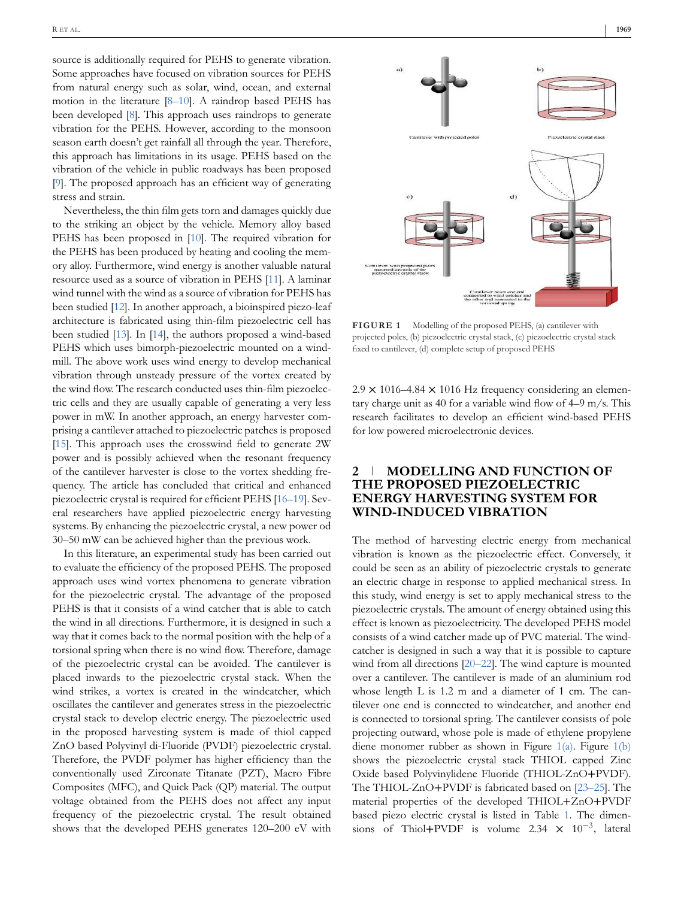source is additionally required for PEHS to generate vibration. Some approaches have focused on vibration sources for PEHS from natural energy such as solar, wind, ocean, and external motion in the literature [8–10]. A raindrop based PEHS has been developed [8]. This approach uses raindrops to generate vibration for the PEHS. However, according to the monsoon season earth doesn't get rainfall all through the year. Therefore, this approach has limitations in its usage. PEHS based on the vibration of the vehicle in public roadways has been proposed [9]. The proposed approach has an efficient way of generating stress and strain.

Nevertheless, the thin film gets torn and damages quickly due to the striking an object by the vehicle. Memory alloy based PEHS has been proposed in [10]. The required vibration for the PEHS has been produced by heating and cooling the memory alloy. Furthermore, wind energy is another valuable natural resource used as a source of vibration in PEHS [11]. A laminar wind tunnel with the wind as a source of vibration for PEHS has been studied [12]. In another approach, a bioinspired piezo-leaf architecture is fabricated using thin-film piezoelectric cell has been studied [13]. In [14], the authors proposed a wind-based PEHS which uses bimorph-piezoelectric mounted on a windmill. The above work uses wind energy to develop mechanical vibration through unsteady pressure of the vortex created by the wind flow. The research conducted uses thin-film piezoelectric cells and they are usually capable of generating a very less power in mW. In another approach, an energy harvester comprising a cantilever attached to piezoelectric patches is proposed [15]. This approach uses the crosswind field to generate 2W power and is possibly achieved when the resonant frequency of the cantilever harvester is close to the vortex shedding frequency. The article has concluded that critical and enhanced piezoelectric crystal is required for efficient PEHS [16–19]. Several researchers have applied piezoelectric energy harvesting systems. By enhancing the piezoelectric crystal, a new power od 30–50 mW can be achieved higher than the previous work.

In this literature, an experimental study has been carried out to evaluate the efficiency of the proposed PEHS. The proposed approach uses wind vortex phenomena to generate vibration for the piezoelectric crystal. The advantage of the proposed PEHS is that it consists of a wind catcher that is able to catch the wind in all directions. Furthermore, it is designed in such a way that it comes back to the normal position with the help of a torsional spring when there is no wind flow. Therefore, damage of the piezoelectric crystal can be avoided. The cantilever is placed inwards to the piezoelectric crystal stack. When the wind strikes, a vortex is created in the windcatcher, which oscillates the cantilever and generates stress in the piezoelectric crystal stack to develop electric energy. The piezoelectric used in the proposed harvesting system is made of thiol capped ZnO based Polyvinyl di-Fluoride (PVDF) piezoelectric crystal. Therefore, the PVDF polymer has higher efficiency than the conventionally used Zirconate Titanate (PZT), Macro Fibre Composites (MFC), and Quick Pack (QP) material. The output voltage obtained from the PEHS does not affect any input frequency of the piezoelectric crystal. The result obtained shows that the developed PEHS generates 120–200 eV with



**FIGURE 1** Modelling of the proposed PEHS, (a) cantilever with projected poles, (b) piezoelectric crystal stack, (c) piezoelectric crystal stack fixed to cantilever, (d) complete setup of proposed PEHS

 $2.9 \times 1016 - 4.84 \times 1016$  Hz frequency considering an elementary charge unit as 40 for a variable wind flow of 4–9 m/s. This research facilitates to develop an efficient wind-based PEHS for low powered microelectronic devices.

# **2 MODELLING AND FUNCTION OF THE PROPOSED PIEZOELECTRIC ENERGY HARVESTING SYSTEM FOR WIND-INDUCED VIBRATION**

The method of harvesting electric energy from mechanical vibration is known as the piezoelectric effect. Conversely, it could be seen as an ability of piezoelectric crystals to generate an electric charge in response to applied mechanical stress. In this study, wind energy is set to apply mechanical stress to the piezoelectric crystals. The amount of energy obtained using this effect is known as piezoelectricity. The developed PEHS model consists of a wind catcher made up of PVC material. The windcatcher is designed in such a way that it is possible to capture wind from all directions [20–22]. The wind capture is mounted over a cantilever. The cantilever is made of an aluminium rod whose length L is 1.2 m and a diameter of 1 cm. The cantilever one end is connected to windcatcher, and another end is connected to torsional spring. The cantilever consists of pole projecting outward, whose pole is made of ethylene propylene diene monomer rubber as shown in Figure 1(a). Figure 1(b) shows the piezoelectric crystal stack THIOL capped Zinc Oxide based Polyvinylidene Fluoride (THIOL-ZnO+PVDF). The THIOL-ZnO+PVDF is fabricated based on [23–25]. The material properties of the developed THIOL+ZnO+PVDF based piezo electric crystal is listed in Table 1. The dimensions of Thiol+PVDF is volume 2.34  $\times$  10<sup>-3</sup>, lateral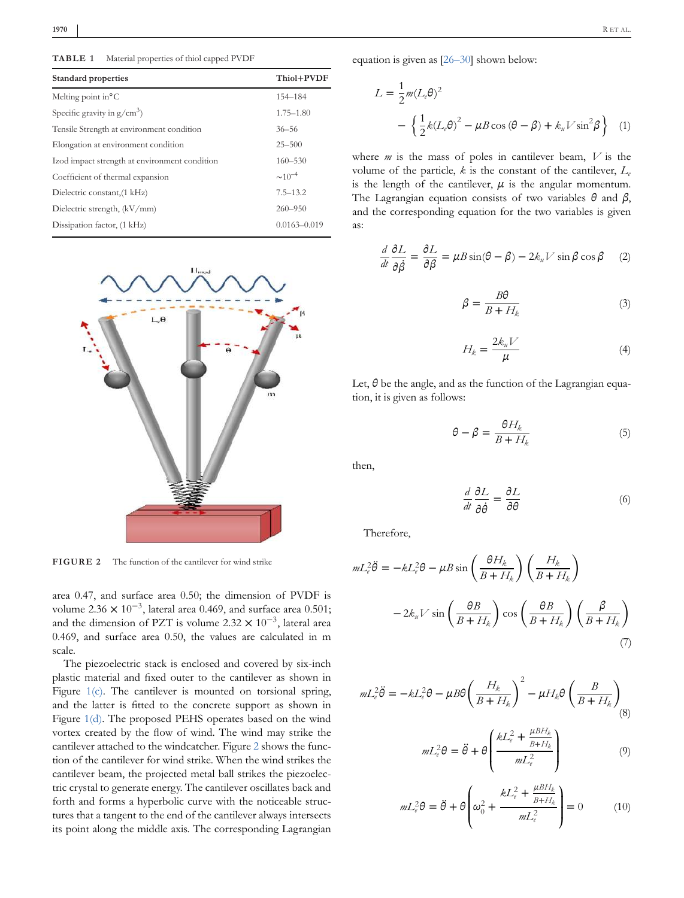**TABLE 1** Material properties of thiol capped PVDF

| <b>Standard properties</b>                    | Thiol+PVDF       |
|-----------------------------------------------|------------------|
| Melting point in $^{\circ}$ C                 | 154-184          |
| Specific gravity in $g/cm^3$ )                | $1.75 - 1.80$    |
| Tensile Strength at environment condition     | $36 - 56$        |
| Elongation at environment condition           | $25 - 500$       |
| Izod impact strength at environment condition | $160 - 530$      |
| Coefficient of thermal expansion              | $\sim 10^{-4}$   |
| Dielectric constant, (1 kHz)                  | $7.5 - 13.2$     |
| Dielectric strength, (kV/mm)                  | $260 - 950$      |
| Dissipation factor, (1 kHz)                   | $0.0163 - 0.019$ |



**FIGURE 2** The function of the cantilever for wind strike

area 0.47, and surface area 0.50; the dimension of PVDF is volume 2.36  $\times$  10<sup>-3</sup>, lateral area 0.469, and surface area 0.501; and the dimension of PZT is volume 2.32  $\times$  10<sup>-3</sup>, lateral area 0.469, and surface area 0.50, the values are calculated in m scale.

The piezoelectric stack is enclosed and covered by six-inch plastic material and fixed outer to the cantilever as shown in Figure 1(c). The cantilever is mounted on torsional spring, and the latter is fitted to the concrete support as shown in Figure 1(d). The proposed PEHS operates based on the wind vortex created by the flow of wind. The wind may strike the cantilever attached to the windcatcher. Figure 2 shows the function of the cantilever for wind strike. When the wind strikes the cantilever beam, the projected metal ball strikes the piezoelectric crystal to generate energy. The cantilever oscillates back and forth and forms a hyperbolic curve with the noticeable structures that a tangent to the end of the cantilever always intersects its point along the middle axis. The corresponding Lagrangian

**1970** R ET AL.

equation is given as [26–30] shown below:

$$
L = \frac{1}{2}m(L_e\theta)^2
$$
  
 
$$
- \left\{\frac{1}{2}k(L_e\theta)^2 - \mu B \cos(\theta - \beta) + k_u V \sin^2\beta\right\} (1)
$$

where *m* is the mass of poles in cantilever beam, *V* is the volume of the particle,  $k$  is the constant of the cantilever,  $L_e$ is the length of the cantilever,  $\mu$  is the angular momentum. The Lagrangian equation consists of two variables *θ* and *β*, and the corresponding equation for the two variables is given as:

$$
\frac{d}{dt}\frac{\partial L}{\partial \dot{\beta}} = \frac{\partial L}{\partial \beta} = \mu B \sin(\theta - \beta) - 2k_{\mu}V \sin \beta \cos \beta \quad (2)
$$

$$
\beta = \frac{B\theta}{B + H_k} \tag{3}
$$

$$
H_k = \frac{2k_u V}{\mu} \tag{4}
$$

Let, *θ* be the angle, and as the function of the Lagrangian equation, it is given as follows:

$$
\theta - \beta = \frac{\theta H_k}{B + H_k} \tag{5}
$$

then,

*d dt*  $\partial L$  $\frac{\partial L}{\partial \dot{\theta}} = \frac{\partial L}{\partial \theta}$  (6)

Therefore,

$$
mL_e^2 \ddot{\theta} = -kL_e^2 \theta - \mu B \sin\left(\frac{\theta H_k}{B + H_k}\right) \left(\frac{H_k}{B + H_k}\right)
$$

$$
-2k_u V \sin\left(\frac{\theta B}{B + H_k}\right) \cos\left(\frac{\theta B}{B + H_k}\right) \left(\frac{\beta}{B + H_k}\right)
$$
(7)

$$
mL_e^2 \ddot{\theta} = -kL_e^2 \theta - \mu B \theta \left(\frac{H_k}{B + H_k}\right)^2 - \mu H_k \theta \left(\frac{B}{B + H_k}\right)_{(8)}
$$

$$
mL_e^2\theta = \ddot{\theta} + \theta \left( \frac{kL_e^2 + \frac{\mu BH_k}{B + H_k}}{mL_e^2} \right) \tag{9}
$$

$$
mL_e^2\theta = \ddot{\theta} + \theta \left(\omega_0^2 + \frac{kL_e^2 + \frac{\mu BH_k}{B + H_k}}{mL_e^2}\right) = 0 \tag{10}
$$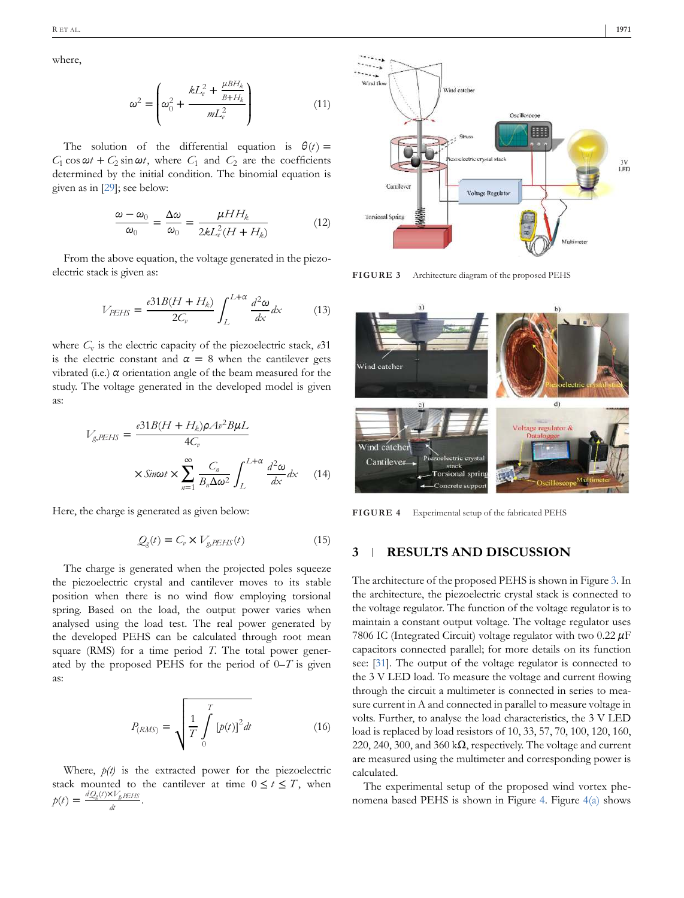where,

$$
\omega^2 = \left(\omega_0^2 + \frac{kL_e^2 + \frac{\mu BH_k}{B + H_k}}{mL_e^2}\right) \tag{11}
$$

The solution of the differential equation is  $\theta(t)$  =  $C_1$  cos  $\omega t$  +  $C_2$  sin  $\omega t$ , where  $C_1$  and  $C_2$  are the coefficients determined by the initial condition. The binomial equation is given as in [29]; see below:

$$
\frac{\omega - \omega_0}{\omega_0} = \frac{\Delta \omega}{\omega_0} = \frac{\mu H H_k}{2k L_e^2 (H + H_k)}\tag{12}
$$

From the above equation, the voltage generated in the piezoelectric stack is given as:

$$
V_{PEHS} = \frac{e31B(H + H_k)}{2C_v} \int_{L}^{L+\alpha} \frac{d^2\omega}{dx} dx
$$
 (13)

where  $C_{\rm v}$  is the electric capacity of the piezoelectric stack,  $e31$ is the electric constant and  $\alpha = 8$  when the cantilever gets vibrated (i.e.)  $\alpha$  orientation angle of the beam measured for the study. The voltage generated in the developed model is given as:

$$
V_{g,PEHS} = \frac{\epsilon 31B(H + H_k)\rho A v^2 B \mu L}{4C_v}
$$

$$
\times \text{Sin}\omega t \times \sum_{n=1}^{\infty} \frac{C_n}{B_n \Delta \omega^2} \int_{L}^{L+\alpha} \frac{d^2 \omega}{dx} dx \qquad (14)
$$

Here, the charge is generated as given below:

$$
Q_g(t) = C_v \times V_{g,PEHS}(t)
$$
 (15)

The charge is generated when the projected poles squeeze the piezoelectric crystal and cantilever moves to its stable position when there is no wind flow employing torsional spring. Based on the load, the output power varies when analysed using the load test. The real power generated by the developed PEHS can be calculated through root mean square (RMS) for a time period *T*. The total power generated by the proposed PEHS for the period of 0–*T* is given as:

$$
P_{(RMS)} = \sqrt{\frac{1}{T} \int_{0}^{T} [p(t)]^2 dt}
$$
 (16)

Where,  $p(t)$  is the extracted power for the piezoelectric stack mounted to the cantilever at time  $0 \le t \le T$ , when  $p(t) = \frac{dQ_g(t) \times V_g p_E H S}{l}$  $\frac{w_{g,PLID}}{dt}$ .



**FIGURE 3** Architecture diagram of the proposed PEHS



**FIGURE 4** Experimental setup of the fabricated PEHS

#### **3 RESULTS AND DISCUSSION**

The architecture of the proposed PEHS is shown in Figure 3. In the architecture, the piezoelectric crystal stack is connected to the voltage regulator. The function of the voltage regulator is to maintain a constant output voltage. The voltage regulator uses 7806 IC (Integrated Circuit) voltage regulator with two 0.22 *µ*F capacitors connected parallel; for more details on its function see: [31]. The output of the voltage regulator is connected to the 3 V LED load. To measure the voltage and current flowing through the circuit a multimeter is connected in series to measure current in A and connected in parallel to measure voltage in volts. Further, to analyse the load characteristics, the 3 V LED load is replaced by load resistors of 10, 33, 57, 70, 100, 120, 160, 220, 240, 300, and 360 k $\Omega$ , respectively. The voltage and current are measured using the multimeter and corresponding power is calculated.

The experimental setup of the proposed wind vortex phenomena based PEHS is shown in Figure 4. Figure  $4(a)$  shows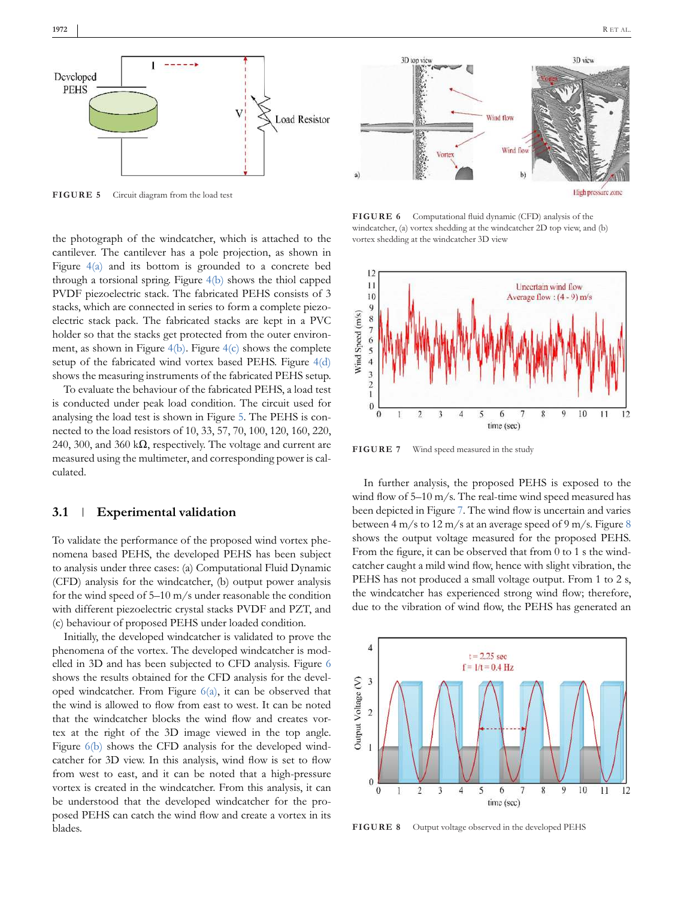

**FIGURE 5** Circuit diagram from the load test

the photograph of the windcatcher, which is attached to the cantilever. The cantilever has a pole projection, as shown in Figure 4(a) and its bottom is grounded to a concrete bed through a torsional spring. Figure 4(b) shows the thiol capped PVDF piezoelectric stack. The fabricated PEHS consists of 3 stacks, which are connected in series to form a complete piezoelectric stack pack. The fabricated stacks are kept in a PVC holder so that the stacks get protected from the outer environment, as shown in Figure  $4(b)$ . Figure  $4(c)$  shows the complete setup of the fabricated wind vortex based PEHS. Figure 4(d) shows the measuring instruments of the fabricated PEHS setup.

To evaluate the behaviour of the fabricated PEHS, a load test is conducted under peak load condition. The circuit used for analysing the load test is shown in Figure 5. The PEHS is connected to the load resistors of 10, 33, 57, 70, 100, 120, 160, 220, 240, 300, and 360 k $\Omega$ , respectively. The voltage and current are measured using the multimeter, and corresponding power is calculated.

#### **3.1 Experimental validation**

To validate the performance of the proposed wind vortex phenomena based PEHS, the developed PEHS has been subject to analysis under three cases: (a) Computational Fluid Dynamic (CFD) analysis for the windcatcher, (b) output power analysis for the wind speed of 5–10 m/s under reasonable the condition with different piezoelectric crystal stacks PVDF and PZT, and (c) behaviour of proposed PEHS under loaded condition.

Initially, the developed windcatcher is validated to prove the phenomena of the vortex. The developed windcatcher is modelled in 3D and has been subjected to CFD analysis. Figure 6 shows the results obtained for the CFD analysis for the developed windcatcher. From Figure 6(a), it can be observed that the wind is allowed to flow from east to west. It can be noted that the windcatcher blocks the wind flow and creates vortex at the right of the 3D image viewed in the top angle. Figure  $6(b)$  shows the CFD analysis for the developed windcatcher for 3D view. In this analysis, wind flow is set to flow from west to east, and it can be noted that a high-pressure vortex is created in the windcatcher. From this analysis, it can be understood that the developed windcatcher for the proposed PEHS can catch the wind flow and create a vortex in its blades.



**FIGURE 6** Computational fluid dynamic (CFD) analysis of the windcatcher, (a) vortex shedding at the windcatcher 2D top view, and (b) vortex shedding at the windcatcher 3D view



FIGURE 7 Wind speed measured in the study

In further analysis, the proposed PEHS is exposed to the wind flow of 5–10 m/s. The real-time wind speed measured has been depicted in Figure 7. The wind flow is uncertain and varies between 4 m/s to 12 m/s at an average speed of 9 m/s. Figure 8 shows the output voltage measured for the proposed PEHS. From the figure, it can be observed that from 0 to 1 s the windcatcher caught a mild wind flow, hence with slight vibration, the PEHS has not produced a small voltage output. From 1 to 2 s, the windcatcher has experienced strong wind flow; therefore, due to the vibration of wind flow, the PEHS has generated an



**FIGURE 8** Output voltage observed in the developed PEHS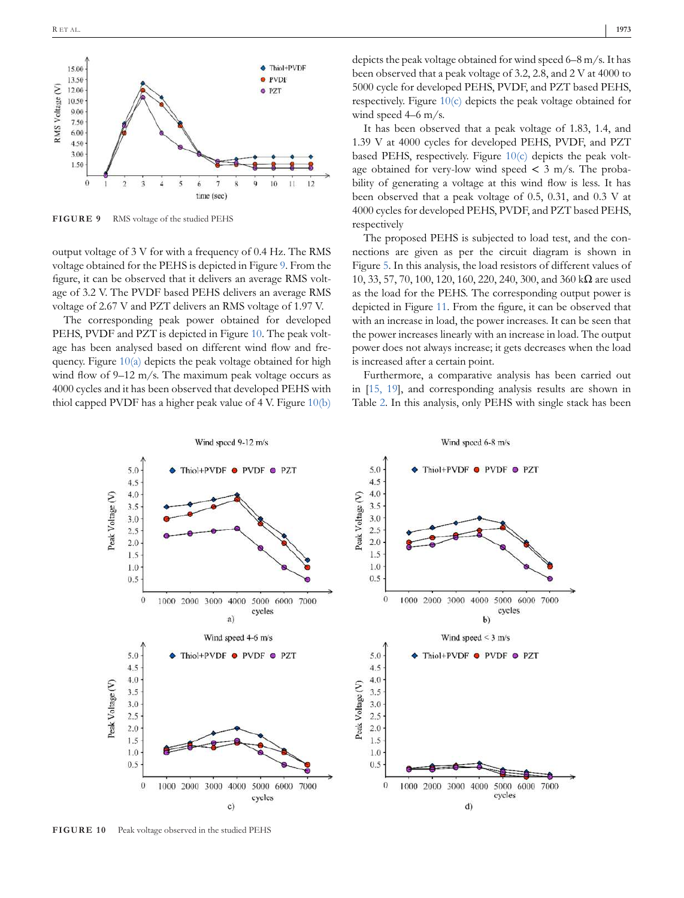

**FIGURE 9** RMS voltage of the studied PEHS

output voltage of 3 V for with a frequency of 0.4 Hz. The RMS voltage obtained for the PEHS is depicted in Figure 9. From the figure, it can be observed that it delivers an average RMS voltage of 3.2 V. The PVDF based PEHS delivers an average RMS voltage of 2.67 V and PZT delivers an RMS voltage of 1.97 V.

The corresponding peak power obtained for developed PEHS, PVDF and PZT is depicted in Figure 10. The peak voltage has been analysed based on different wind flow and frequency. Figure 10(a) depicts the peak voltage obtained for high wind flow of 9–12 m/s. The maximum peak voltage occurs as 4000 cycles and it has been observed that developed PEHS with thiol capped PVDF has a higher peak value of 4 V. Figure 10(b)

It has been observed that a peak voltage of 1.83, 1.4, and 1.39 V at 4000 cycles for developed PEHS, PVDF, and PZT based PEHS, respectively. Figure 10(c) depicts the peak voltage obtained for very-low wind speed  $\lt$  3 m/s. The probability of generating a voltage at this wind flow is less. It has been observed that a peak voltage of 0.5, 0.31, and 0.3 V at 4000 cycles for developed PEHS, PVDF, and PZT based PEHS, respectively

The proposed PEHS is subjected to load test, and the connections are given as per the circuit diagram is shown in Figure 5. In this analysis, the load resistors of different values of 10, 33, 57, 70, 100, 120, 160, 220, 240, 300, and 360 kΩ are used as the load for the PEHS. The corresponding output power is depicted in Figure 11. From the figure, it can be observed that with an increase in load, the power increases. It can be seen that the power increases linearly with an increase in load. The output power does not always increase; it gets decreases when the load is increased after a certain point.

Furthermore, a comparative analysis has been carried out in [15, 19], and corresponding analysis results are shown in Table 2. In this analysis, only PEHS with single stack has been



**FIGURE 10** Peak voltage observed in the studied PEHS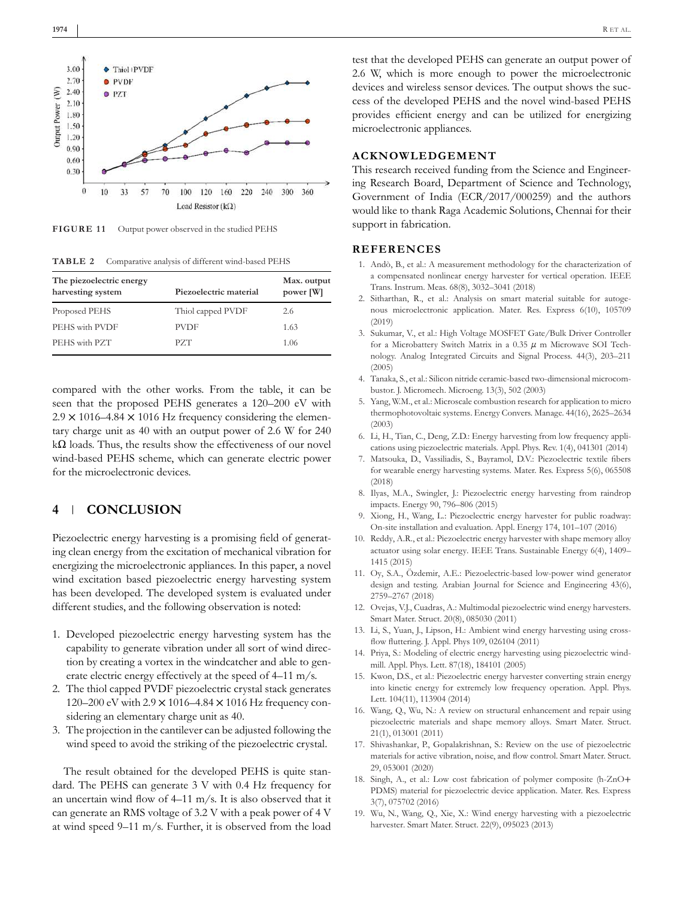



**FIGURE 11** Output power observed in the studied PEHS

**TABLE 2** Comparative analysis of different wind-based PEHS

| The piezoelectric energy<br>harvesting system | Piezoelectric material | Max. output<br>power [W] |
|-----------------------------------------------|------------------------|--------------------------|
| Proposed PEHS                                 | Thiol capped PVDF      | 2.6                      |
| PEHS with PVDF                                | <b>PVDF</b>            | 1.63                     |
| PEHS with PZT                                 | PZT                    | 1.06                     |
|                                               |                        |                          |

compared with the other works. From the table, it can be seen that the proposed PEHS generates a 120–200 eV with  $2.9 \times 1016 - 4.84 \times 1016$  Hz frequency considering the elementary charge unit as 40 with an output power of 2.6 W for 240  $k\Omega$  loads. Thus, the results show the effectiveness of our novel wind-based PEHS scheme, which can generate electric power for the microelectronic devices.

#### **4 CONCLUSION**

Piezoelectric energy harvesting is a promising field of generating clean energy from the excitation of mechanical vibration for energizing the microelectronic appliances. In this paper, a novel wind excitation based piezoelectric energy harvesting system has been developed. The developed system is evaluated under different studies, and the following observation is noted:

- 1. Developed piezoelectric energy harvesting system has the capability to generate vibration under all sort of wind direction by creating a vortex in the windcatcher and able to generate electric energy effectively at the speed of 4–11 m/s.
- 2. The thiol capped PVDF piezoelectric crystal stack generates 120–200 eV with 2.9 × 1016–4.84 × 1016 Hz frequency considering an elementary charge unit as 40.
- 3. The projection in the cantilever can be adjusted following the wind speed to avoid the striking of the piezoelectric crystal.

The result obtained for the developed PEHS is quite standard. The PEHS can generate 3 V with 0.4 Hz frequency for an uncertain wind flow of 4–11 m/s. It is also observed that it can generate an RMS voltage of 3.2 V with a peak power of 4 V at wind speed 9–11 m/s. Further, it is observed from the load

test that the developed PEHS can generate an output power of 2.6 W, which is more enough to power the microelectronic devices and wireless sensor devices. The output shows the success of the developed PEHS and the novel wind-based PEHS provides efficient energy and can be utilized for energizing microelectronic appliances.

#### **ACKNOWLEDGEMENT**

This research received funding from the Science and Engineering Research Board, Department of Science and Technology, Government of India (ECR/2017/000259) and the authors would like to thank Raga Academic Solutions, Chennai for their support in fabrication.

## **REFERENCES**

- 1. Andò, B., et al.: A measurement methodology for the characterization of a compensated nonlinear energy harvester for vertical operation. IEEE Trans. Instrum. Meas. 68(8), 3032–3041 (2018)
- 2. Sitharthan, R., et al.: Analysis on smart material suitable for autogenous microelectronic application. Mater. Res. Express 6(10), 105709 (2019)
- 3. Sukumar, V., et al.: High Voltage MOSFET Gate/Bulk Driver Controller for a Microbattery Switch Matrix in a 0.35 *µ* m Microwave SOI Technology. Analog Integrated Circuits and Signal Process. 44(3), 203–211 (2005)
- 4. Tanaka, S., et al.: Silicon nitride ceramic-based two-dimensional microcombustor. J. Micromech. Microeng. 13(3), 502 (2003)
- 5. Yang, W.M., et al.: Microscale combustion research for application to micro thermophotovoltaic systems. Energy Convers. Manage. 44(16), 2625–2634 (2003)
- 6. Li, H., Tian, C., Deng, Z.D.: Energy harvesting from low frequency applications using piezoelectric materials. Appl. Phys. Rev. 1(4), 041301 (2014)
- 7. Matsouka, D., Vassiliadis, S., Bayramol, D.V.: Piezoelectric textile fibers for wearable energy harvesting systems. Mater. Res. Express 5(6), 065508 (2018)
- 8. Ilyas, M.A., Swingler, J.: Piezoelectric energy harvesting from raindrop impacts. Energy 90, 796–806 (2015)
- 9. Xiong, H., Wang, L.: Piezoelectric energy harvester for public roadway: On-site installation and evaluation. Appl. Energy 174, 101–107 (2016)
- 10. Reddy, A.R., et al.: Piezoelectric energy harvester with shape memory alloy actuator using solar energy. IEEE Trans. Sustainable Energy 6(4), 1409– 1415 (2015)
- 11. Oy, S.A., Özdemir, A.E.: Piezoelectric-based low-power wind generator design and testing. Arabian Journal for Science and Engineering 43(6), 2759–2767 (2018)
- 12. Ovejas, V.J., Cuadras, A.: Multimodal piezoelectric wind energy harvesters. Smart Mater. Struct. 20(8), 085030 (2011)
- 13. Li, S., Yuan, J., Lipson, H.: Ambient wind energy harvesting using crossflow fluttering. J. Appl. Phys 109, 026104 (2011)
- 14. Priya, S.: Modeling of electric energy harvesting using piezoelectric windmill. Appl. Phys. Lett. 87(18), 184101 (2005)
- 15. Kwon, D.S., et al.: Piezoelectric energy harvester converting strain energy into kinetic energy for extremely low frequency operation. Appl. Phys. Lett. 104(11), 113904 (2014)
- 16. Wang, Q., Wu, N.: A review on structural enhancement and repair using piezoelectric materials and shape memory alloys. Smart Mater. Struct. 21(1), 013001 (2011)
- 17. Shivashankar, P., Gopalakrishnan, S.: Review on the use of piezoelectric materials for active vibration, noise, and flow control. Smart Mater. Struct. 29, 053001 (2020)
- 18. Singh, A., et al.: Low cost fabrication of polymer composite (h-ZnO+ PDMS) material for piezoelectric device application. Mater. Res. Express 3(7), 075702 (2016)
- 19. Wu, N., Wang, Q., Xie, X.: Wind energy harvesting with a piezoelectric harvester. Smart Mater. Struct. 22(9), 095023 (2013)